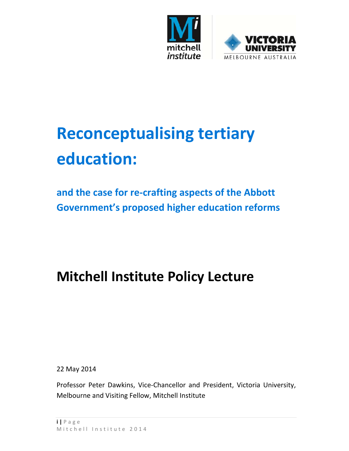

# **Reconceptualising tertiary education:**

**and the case for re‐crafting aspects of the Abbott Government's proposed higher education reforms** 

## **Mitchell Institute Policy Lecture**

22 May 2014

Professor Peter Dawkins, Vice‐Chancellor and President, Victoria University, Melbourne and Visiting Fellow, Mitchell Institute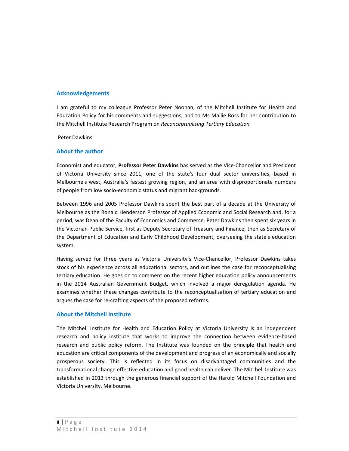#### **Acknowledgements**

I am grateful to my colleague Professor Peter Noonan, of the Mitchell Institute for Health and Education Policy for his comments and suggestions, and to Ms Mailie Ross for her contribution to the Mitchell Institute Research Program on *Reconceptualising Tertiary Education.*

Peter Dawkins.

#### **About the author**

Economist and educator, **Professor Peter Dawkins** has served as the Vice‐Chancellor and President of Victoria University since 2011, one of the state's four dual sector universities, based in Melbourne's west, Australia's fastest growing region, and an area with disproportionate numbers of people from low socio‐economic status and migrant backgrounds.

Between 1996 and 2005 Professor Dawkins spent the best part of a decade at the University of Melbourne as the Ronald Henderson Professor of Applied Economic and Social Research and, for a period, was Dean of the Faculty of Economics and Commerce. Peter Dawkins then spent six years in the Victorian Public Service, first as Deputy Secretary of Treasury and Finance, then as Secretary of the Department of Education and Early Childhood Development, overseeing the state's education system.

Having served for three years as Victoria University's Vice-Chancellor, Professor Dawkins takes stock of his experience across all educational sectors, and outlines the case for reconceptualising tertiary education. He goes on to comment on the recent higher education policy announcements in the 2014 Australian Government Budget, which involved a major deregulation agenda. He examines whether these changes contribute to the reconceptualisation of tertiary education and argues the case for re‐crafting aspects of the proposed reforms.

#### **About the Mitchell Institute**

The Mitchell Institute for Health and Education Policy at Victoria University is an independent research and policy institute that works to improve the connection between evidence-based research and public policy reform. The Institute was founded on the principle that health and education are critical components of the development and progress of an economically and socially prosperous society. This is reflected in its focus on disadvantaged communities and the transformational change effective education and good health can deliver. The Mitchell Institute was established in 2013 through the generous financial support of the Harold Mitchell Foundation and Victoria University, Melbourne.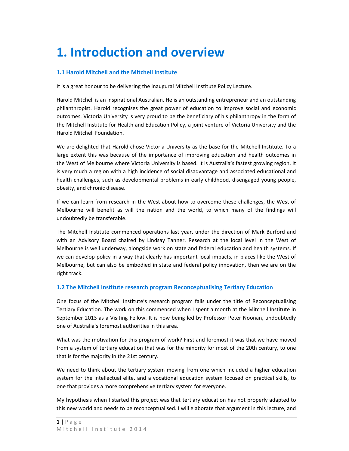## **1. Introduction and overview**

#### **1.1 Harold Mitchell and the Mitchell Institute**

It is a great honour to be delivering the inaugural Mitchell Institute Policy Lecture.

Harold Mitchell is an inspirational Australian. He is an outstanding entrepreneur and an outstanding philanthropist. Harold recognises the great power of education to improve social and economic outcomes. Victoria University is very proud to be the beneficiary of his philanthropy in the form of the Mitchell Institute for Health and Education Policy, a joint venture of Victoria University and the Harold Mitchell Foundation.

We are delighted that Harold chose Victoria University as the base for the Mitchell Institute. To a large extent this was because of the importance of improving education and health outcomes in the West of Melbourne where Victoria University is based. It is Australia's fastest growing region. It is very much a region with a high incidence of social disadvantage and associated educational and health challenges, such as developmental problems in early childhood, disengaged young people, obesity, and chronic disease.

If we can learn from research in the West about how to overcome these challenges, the West of Melbourne will benefit as will the nation and the world, to which many of the findings will undoubtedly be transferable.

The Mitchell Institute commenced operations last year, under the direction of Mark Burford and with an Advisory Board chaired by Lindsay Tanner. Research at the local level in the West of Melbourne is well underway, alongside work on state and federal education and health systems. If we can develop policy in a way that clearly has important local impacts, in places like the West of Melbourne, but can also be embodied in state and federal policy innovation, then we are on the right track.

#### **1.2 The Mitchell Institute research program Reconceptualising Tertiary Education**

One focus of the Mitchell Institute's research program falls under the title of Reconceptualising Tertiary Education. The work on this commenced when I spent a month at the Mitchell Institute in September 2013 as a Visiting Fellow. It is now being led by Professor Peter Noonan, undoubtedly one of Australia's foremost authorities in this area.

What was the motivation for this program of work? First and foremost it was that we have moved from a system of tertiary education that was for the minority for most of the 20th century, to one that is for the majority in the 21st century.

We need to think about the tertiary system moving from one which included a higher education system for the intellectual elite, and a vocational education system focused on practical skills, to one that provides a more comprehensive tertiary system for everyone.

My hypothesis when I started this project was that tertiary education has not properly adapted to this new world and needs to be reconceptualised. I will elaborate that argument in this lecture, and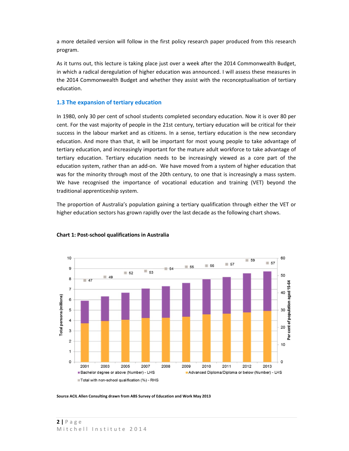a more detailed version will follow in the first policy research paper produced from this research program.

As it turns out, this lecture is taking place just over a week after the 2014 Commonwealth Budget, in which a radical deregulation of higher education was announced. I will assess these measures in the 2014 Commonwealth Budget and whether they assist with the reconceptualisation of tertiary education.

#### **1.3 The expansion of tertiary education**

In 1980, only 30 per cent of school students completed secondary education. Now it is over 80 per cent. For the vast majority of people in the 21st century, tertiary education will be critical for their success in the labour market and as citizens. In a sense, tertiary education is the new secondary education. And more than that, it will be important for most young people to take advantage of tertiary education, and increasingly important for the mature adult workforce to take advantage of tertiary education. Tertiary education needs to be increasingly viewed as a core part of the education system, rather than an add‐on. We have moved from a system of higher education that was for the minority through most of the 20th century, to one that is increasingly a mass system. We have recognised the importance of vocational education and training (VET) beyond the traditional apprenticeship system.

The proportion of Australia's population gaining a tertiary qualification through either the VET or higher education sectors has grown rapidly over the last decade as the following chart shows.



#### **Chart 1: Post‐school qualifications in Australia**

**Source ACIL Allen Consulting drawn from ABS Survey of Education and Work May 2013**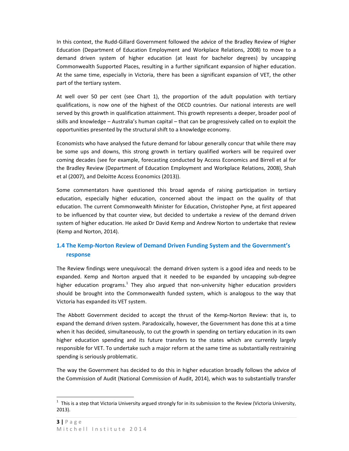In this context, the Rudd‐Gillard Government followed the advice of the Bradley Review of Higher Education (Department of Education Employment and Workplace Relations, 2008) to move to a demand driven system of higher education (at least for bachelor degrees) by uncapping Commonwealth Supported Places, resulting in a further significant expansion of higher education. At the same time, especially in Victoria, there has been a significant expansion of VET, the other part of the tertiary system.

At well over 50 per cent (see Chart 1), the proportion of the adult population with tertiary qualifications, is now one of the highest of the OECD countries. Our national interests are well served by this growth in qualification attainment. This growth represents a deeper, broader pool of skills and knowledge – Australia's human capital – that can be progressively called on to exploit the opportunities presented by the structural shift to a knowledge economy.

Economists who have analysed the future demand for labour generally concur that while there may be some ups and downs, this strong growth in tertiary qualified workers will be required over coming decades (see for example, forecasting conducted by Access Economics and Birrell et al for the Bradley Review (Department of Education Employment and Workplace Relations, 2008), Shah et al (2007), and Deloitte Access Economics (2013)).

Some commentators have questioned this broad agenda of raising participation in tertiary education, especially higher education, concerned about the impact on the quality of that education. The current Commonwealth Minister for Education, Christopher Pyne, at first appeared to be influenced by that counter view, but decided to undertake a review of the demand driven system of higher education. He asked Dr David Kemp and Andrew Norton to undertake that review (Kemp and Norton, 2014).

#### **1.4 The Kemp‐Norton Review of Demand Driven Funding System and the Government's response**

The Review findings were unequivocal: the demand driven system is a good idea and needs to be expanded. Kemp and Norton argued that it needed to be expanded by uncapping sub‐degree higher education programs.<sup>1</sup> They also argued that non-university higher education providers should be brought into the Commonwealth funded system, which is analogous to the way that Victoria has expanded its VET system.

The Abbott Government decided to accept the thrust of the Kemp‐Norton Review: that is, to expand the demand driven system. Paradoxically, however, the Government has done this at a time when it has decided, simultaneously, to cut the growth in spending on tertiary education in its own higher education spending and its future transfers to the states which are currently largely responsible for VET. To undertake such a major reform at the same time as substantially restraining spending is seriously problematic.

The way the Government has decided to do this in higher education broadly follows the advice of the Commission of Audit (National Commission of Audit, 2014), which was to substantially transfer

 $1$  This is a step that Victoria University argued strongly for in its submission to the Review (Victoria University, 2013).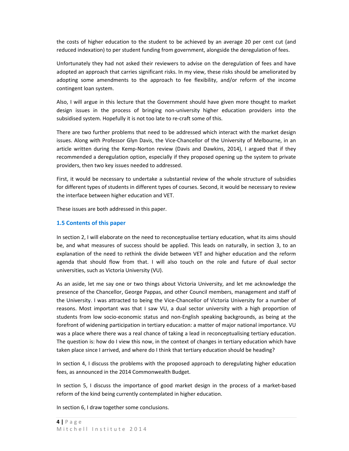the costs of higher education to the student to be achieved by an average 20 per cent cut (and reduced indexation) to per student funding from government, alongside the deregulation of fees.

Unfortunately they had not asked their reviewers to advise on the deregulation of fees and have adopted an approach that carries significant risks. In my view, these risks should be ameliorated by adopting some amendments to the approach to fee flexibility, and/or reform of the income contingent loan system.

Also, I will argue in this lecture that the Government should have given more thought to market design issues in the process of bringing non-university higher education providers into the subsidised system. Hopefully it is not too late to re-craft some of this.

There are two further problems that need to be addressed which interact with the market design issues. Along with Professor Glyn Davis, the Vice-Chancellor of the University of Melbourne, in an article written during the Kemp‐Norton review (Davis and Dawkins, 2014), I argued that if they recommended a deregulation option, especially if they proposed opening up the system to private providers, then two key issues needed to addressed.

First, it would be necessary to undertake a substantial review of the whole structure of subsidies for different types of students in different types of courses. Second, it would be necessary to review the interface between higher education and VET.

These issues are both addressed in this paper.

#### **1.5 Contents of this paper**

In section 2, I will elaborate on the need to reconceptualise tertiary education, what its aims should be, and what measures of success should be applied. This leads on naturally, in section 3, to an explanation of the need to rethink the divide between VET and higher education and the reform agenda that should flow from that. I will also touch on the role and future of dual sector universities, such as Victoria University (VU).

As an aside, let me say one or two things about Victoria University, and let me acknowledge the presence of the Chancellor, George Pappas, and other Council members, management and staff of the University. I was attracted to being the Vice-Chancellor of Victoria University for a number of reasons. Most important was that I saw VU, a dual sector university with a high proportion of students from low socio‐economic status and non‐English speaking backgrounds, as being at the forefront of widening participation in tertiary education: a matter of major national importance. VU was a place where there was a real chance of taking a lead in reconceptualising tertiary education. The question is: how do I view this now, in the context of changes in tertiary education which have taken place since I arrived, and where do I think that tertiary education should be heading?

In section 4, I discuss the problems with the proposed approach to deregulating higher education fees, as announced in the 2014 Commonwealth Budget.

In section 5, I discuss the importance of good market design in the process of a market-based reform of the kind being currently contemplated in higher education.

In section 6, I draw together some conclusions.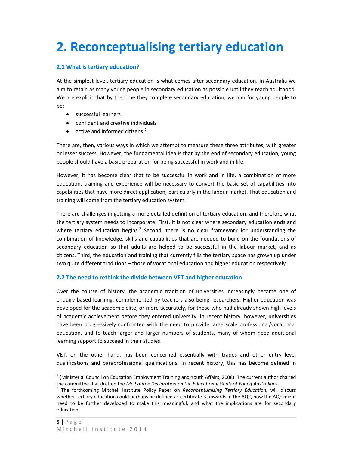## **2. Reconceptualising tertiary education**

#### **2.1 What is tertiary education?**

At the simplest level, tertiary education is what comes after secondary education. In Australia we aim to retain as many young people in secondary education as possible until they reach adulthood. We are explicit that by the time they complete secondary education, we aim for young people to be:

- successful learners
- confident and creative individuals
- active and informed citizens. $2$

There are, then, various ways in which we attempt to measure these three attributes, with greater or lesser success. However, the fundamental idea is that by the end of secondary education, young people should have a basic preparation for being successful in work and in life.

However, it has become clear that to be successful in work and in life, a combination of more education, training and experience will be necessary to convert the basic set of capabilities into capabilities that have more direct application, particularly in the labour market. That education and training will come from the tertiary education system.

There are challenges in getting a more detailed definition of tertiary education, and therefore what the tertiary system needs to incorporate. First, it is not clear where secondary education ends and where tertiary education begins.<sup>3</sup> Second, there is no clear framework for understanding the combination of knowledge, skills and capabilities that are needed to build on the foundations of secondary education so that adults are helped to be successful in the labour market, and as citizens. Third, the education and training that currently fills the tertiary space has grown up under two quite different traditions – those of vocational education and higher education respectively.

#### **2.2 The need to rethink the divide between VET and higher education**

Over the course of history, the academic tradition of universities increasingly became one of enquiry based learning, complemented by teachers also being researchers. Higher education was developed for the academic elite, or more accurately, for those who had already shown high levels of academic achievement before they entered university. In recent history, however, universities have been progressively confronted with the need to provide large scale professional/vocational education, and to teach larger and larger numbers of students, many of whom need additional learning support to succeed in their studies.

VET, on the other hand, has been concerned essentially with trades and other entry level qualifications and paraprofessional qualifications. In recent history, this has become defined in

 <sup>2</sup> (Ministerial Council on Education Employment Training and Youth Affairs, 2008). The current author chaired

the committee that drafted the Melbourne Declaration on the Educational Goals of Young Australians.<br><sup>3</sup> The forthcoming Mitchell Institute Policy Paper on Reconceptualising Tertiary Education, will discuss whether tertiary education could perhaps be defined as certificate 3 upwards in the AQF, how the AQF might need to be further developed to make this meaningful, and what the implications are for secondary education.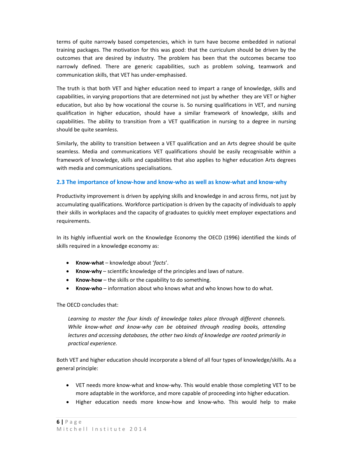terms of quite narrowly based competencies, which in turn have become embedded in national training packages. The motivation for this was good: that the curriculum should be driven by the outcomes that are desired by industry. The problem has been that the outcomes became too narrowly defined. There are generic capabilities, such as problem solving, teamwork and communication skills, that VET has under‐emphasised.

The truth is that both VET and higher education need to impart a range of knowledge, skills and capabilities, in varying proportions that are determined not just by whether they are VET or higher education, but also by how vocational the course is. So nursing qualifications in VET, and nursing qualification in higher education, should have a similar framework of knowledge, skills and capabilities. The ability to transition from a VET qualification in nursing to a degree in nursing should be quite seamless.

Similarly, the ability to transition between a VET qualification and an Arts degree should be quite seamless. Media and communications VET qualifications should be easily recognisable within a framework of knowledge, skills and capabilities that also applies to higher education Arts degrees with media and communications specialisations.

#### **2.3 The importance of know‐how and know‐who as well as know‐what and know‐why**

Productivity improvement is driven by applying skills and knowledge in and across firms, not just by accumulating qualifications. Workforce participation is driven by the capacity of individuals to apply their skills in workplaces and the capacity of graduates to quickly meet employer expectations and requirements.

In its highly influential work on the Knowledge Economy the OECD (1996) identified the kinds of skills required in a knowledge economy as:

- **Know‐what** knowledge about '*facts*'.
- **Know‐why** scientific knowledge of the principles and laws of nature.
- **Know‐how** the skills or the capability to do something.
- **Know‐who** information about who knows what and who knows how to do what.

The OECD concludes that:

*Learning to master the four kinds of knowledge takes place through different channels. While know‐what and know‐why can be obtained through reading books, attending lectures and accessing databases, the other two kinds of knowledge are rooted primarily in practical experience.* 

Both VET and higher education should incorporate a blend of all four types of knowledge/skills. As a general principle:

- VET needs more know‐what and know‐why. This would enable those completing VET to be more adaptable in the workforce, and more capable of proceeding into higher education.
- Higher education needs more know-how and know-who. This would help to make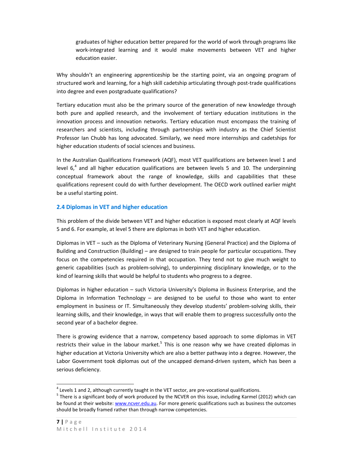graduates of higher education better prepared for the world of work through programs like work-integrated learning and it would make movements between VET and higher education easier.

Why shouldn't an engineering apprenticeship be the starting point, via an ongoing program of structured work and learning, for a high skill cadetship articulating through post-trade qualifications into degree and even postgraduate qualifications?

Tertiary education must also be the primary source of the generation of new knowledge through both pure and applied research, and the involvement of tertiary education institutions in the innovation process and innovation networks. Tertiary education must encompass the training of researchers and scientists, including through partnerships with industry as the Chief Scientist Professor Ian Chubb has long advocated. Similarly, we need more internships and cadetships for higher education students of social sciences and business.

In the Australian Qualifications Framework (AQF), most VET qualifications are between level 1 and level  $6<sup>4</sup>$  and all higher education qualifications are between levels 5 and 10. The underpinning conceptual framework about the range of knowledge, skills and capabilities that these qualifications represent could do with further development. The OECD work outlined earlier might be a useful starting point.

#### **2.4 Diplomas in VET and higher education**

This problem of the divide between VET and higher education is exposed most clearly at AQF levels 5 and 6. For example, at level 5 there are diplomas in both VET and higher education.

Diplomas in VET – such as the Diploma of Veterinary Nursing (General Practice) and the Diploma of Building and Construction (Building) – are designed to train people for particular occupations. They focus on the competencies required in that occupation. They tend not to give much weight to generic capabilities (such as problem‐solving), to underpinning disciplinary knowledge, or to the kind of learning skills that would be helpful to students who progress to a degree.

Diplomas in higher education – such Victoria University's Diploma in Business Enterprise, and the Diploma in Information Technology – are designed to be useful to those who want to enter employment in business or IT. Simultaneously they develop students' problem-solving skills, their learning skills, and their knowledge, in ways that will enable them to progress successfully onto the second year of a bachelor degree.

There is growing evidence that a narrow, competency based approach to some diplomas in VET restricts their value in the labour market.<sup>5</sup> This is one reason why we have created diplomas in higher education at Victoria University which are also a better pathway into a degree. However, the Labor Government took diplomas out of the uncapped demand-driven system, which has been a serious deficiency.

<sup>&</sup>lt;sup>4</sup> Levels 1 and 2, although currently taught in the VET sector, are pre-vocational qualifications.<br><sup>5</sup> There is a significant body of work produced by the NCVER on this issue, including Karmel (2012) which can be found at their website: www.ncver.edu.au. For more generic qualifications such as business the outcomes should be broadly framed rather than through narrow competencies.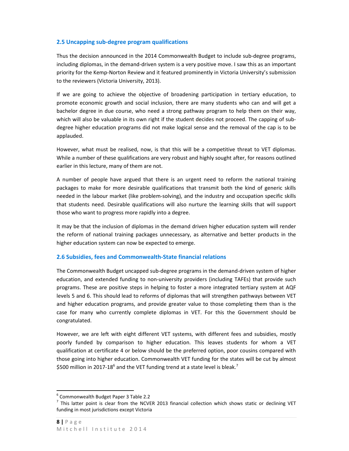#### **2.5 Uncapping sub‐degree program qualifications**

Thus the decision announced in the 2014 Commonwealth Budget to include sub‐degree programs, including diplomas, in the demand‐driven system is a very positive move. I saw this as an important priority for the Kemp‐Norton Review and it featured prominently in Victoria University's submission to the reviewers (Victoria University, 2013).

If we are going to achieve the objective of broadening participation in tertiary education, to promote economic growth and social inclusion, there are many students who can and will get a bachelor degree in due course, who need a strong pathway program to help them on their way, which will also be valuable in its own right if the student decides not proceed. The capping of subdegree higher education programs did not make logical sense and the removal of the cap is to be applauded.

However, what must be realised, now, is that this will be a competitive threat to VET diplomas. While a number of these qualifications are very robust and highly sought after, for reasons outlined earlier in this lecture, many of them are not.

A number of people have argued that there is an urgent need to reform the national training packages to make for more desirable qualifications that transmit both the kind of generic skills needed in the labour market (like problem‐solving), and the industry and occupation specific skills that students need. Desirable qualifications will also nurture the learning skills that will support those who want to progress more rapidly into a degree.

It may be that the inclusion of diplomas in the demand driven higher education system will render the reform of national training packages unnecessary, as alternative and better products in the higher education system can now be expected to emerge.

#### **2.6 Subsidies, fees and Commonwealth‐State financial relations**

The Commonwealth Budget uncapped sub‐degree programs in the demand‐driven system of higher education, and extended funding to non-university providers (including TAFEs) that provide such programs. These are positive steps in helping to foster a more integrated tertiary system at AQF levels 5 and 6. This should lead to reforms of diplomas that will strengthen pathways between VET and higher education programs, and provide greater value to those completing them than is the case for many who currently complete diplomas in VET. For this the Government should be congratulated.

However, we are left with eight different VET systems, with different fees and subsidies, mostly poorly funded by comparison to higher education. This leaves students for whom a VET qualification at certificate 4 or below should be the preferred option, poor cousins compared with those going into higher education. Commonwealth VET funding for the states will be cut by almost \$500 million in 2017-18<sup>6</sup> and the VET funding trend at a state level is bleak.<sup>7</sup>

<sup>&</sup>lt;sup>6</sup> Commonwealth Budget Paper 3 Table 2.2<br><sup>7</sup> This latter point is clear from the NCVER 2013 financial collection which shows static or declining VET funding in most jurisdictions except Victoria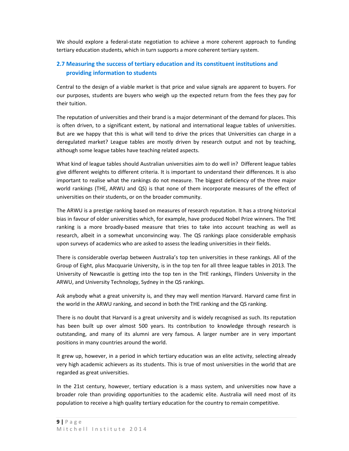We should explore a federal-state negotiation to achieve a more coherent approach to funding tertiary education students, which in turn supports a more coherent tertiary system.

#### **2.7 Measuring the success of tertiary education and its constituent institutions and providing information to students**

Central to the design of a viable market is that price and value signals are apparent to buyers. For our purposes, students are buyers who weigh up the expected return from the fees they pay for their tuition.

The reputation of universities and their brand is a major determinant of the demand for places. This is often driven, to a significant extent, by national and international league tables of universities. But are we happy that this is what will tend to drive the prices that Universities can charge in a deregulated market? League tables are mostly driven by research output and not by teaching, although some league tables have teaching related aspects.

What kind of league tables should Australian universities aim to do well in? Different league tables give different weights to different criteria. It is important to understand their differences. It is also important to realise what the rankings do not measure. The biggest deficiency of the three major world rankings (THE, ARWU and QS) is that none of them incorporate measures of the effect of universities on their students, or on the broader community.

The ARWU is a prestige ranking based on measures of research reputation. It has a strong historical bias in favour of older universities which, for example, have produced Nobel Prize winners. The THE ranking is a more broadly-based measure that tries to take into account teaching as well as research, albeit in a somewhat unconvincing way. The QS rankings place considerable emphasis upon surveys of academics who are asked to assess the leading universities in their fields.

There is considerable overlap between Australia's top ten universities in these rankings. All of the Group of Eight, plus Macquarie University, is in the top ten for all three league tables in 2013. The University of Newcastle is getting into the top ten in the THE rankings, Flinders University in the ARWU, and University Technology, Sydney in the QS rankings.

Ask anybody what a great university is, and they may well mention Harvard. Harvard came first in the world in the ARWU ranking, and second in both the THE ranking and the QS ranking.

There is no doubt that Harvard is a great university and is widely recognised as such. Its reputation has been built up over almost 500 years. Its contribution to knowledge through research is outstanding, and many of its alumni are very famous. A larger number are in very important positions in many countries around the world.

It grew up, however, in a period in which tertiary education was an elite activity, selecting already very high academic achievers as its students. This is true of most universities in the world that are regarded as great universities.

In the 21st century, however, tertiary education is a mass system, and universities now have a broader role than providing opportunities to the academic elite. Australia will need most of its population to receive a high quality tertiary education for the country to remain competitive.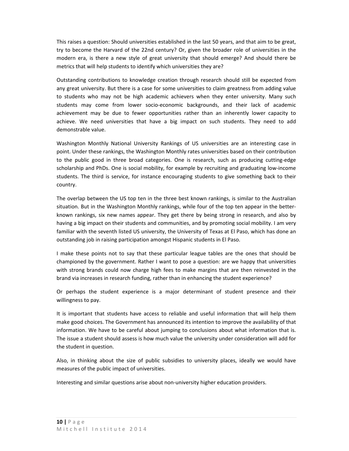This raises a question: Should universities established in the last 50 years, and that aim to be great, try to become the Harvard of the 22nd century? Or, given the broader role of universities in the modern era, is there a new style of great university that should emerge? And should there be metrics that will help students to identify which universities they are?

Outstanding contributions to knowledge creation through research should still be expected from any great university. But there is a case for some universities to claim greatness from adding value to students who may not be high academic achievers when they enter university. Many such students may come from lower socio‐economic backgrounds, and their lack of academic achievement may be due to fewer opportunities rather than an inherently lower capacity to achieve. We need universities that have a big impact on such students. They need to add demonstrable value.

Washington Monthly National University Rankings of US universities are an interesting case in point. Under these rankings, the Washington Monthly rates universities based on their contribution to the public good in three broad categories. One is research, such as producing cutting‐edge scholarship and PhDs. One is social mobility, for example by recruiting and graduating low‐income students. The third is service, for instance encouraging students to give something back to their country.

The overlap between the US top ten in the three best known rankings, is similar to the Australian situation. But in the Washington Monthly rankings, while four of the top ten appear in the betterknown rankings, six new names appear. They get there by being strong in research, and also by having a big impact on their students and communities, and by promoting social mobility. I am very familiar with the seventh listed US university, the University of Texas at El Paso, which has done an outstanding job in raising participation amongst Hispanic students in El Paso.

I make these points not to say that these particular league tables are the ones that should be championed by the government. Rather I want to pose a question: are we happy that universities with strong brands could now charge high fees to make margins that are then reinvested in the brand via increases in research funding, rather than in enhancing the student experience?

Or perhaps the student experience is a major determinant of student presence and their willingness to pay.

It is important that students have access to reliable and useful information that will help them make good choices. The Government has announced its intention to improve the availability of that information. We have to be careful about jumping to conclusions about what information that is. The issue a student should assess is how much value the university under consideration will add for the student in question.

Also, in thinking about the size of public subsidies to university places, ideally we would have measures of the public impact of universities.

Interesting and similar questions arise about non‐university higher education providers.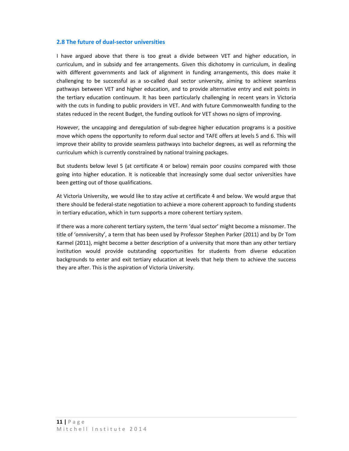#### **2.8 The future of dual‐sector universities**

I have argued above that there is too great a divide between VET and higher education, in curriculum, and in subsidy and fee arrangements. Given this dichotomy in curriculum, in dealing with different governments and lack of alignment in funding arrangements, this does make it challenging to be successful as a so-called dual sector university, aiming to achieve seamless pathways between VET and higher education, and to provide alternative entry and exit points in the tertiary education continuum. It has been particularly challenging in recent years in Victoria with the cuts in funding to public providers in VET. And with future Commonwealth funding to the states reduced in the recent Budget, the funding outlook for VET shows no signs of improving.

However, the uncapping and deregulation of sub-degree higher education programs is a positive move which opens the opportunity to reform dual sector and TAFE offers at levels 5 and 6. This will improve their ability to provide seamless pathways into bachelor degrees, as well as reforming the curriculum which is currently constrained by national training packages.

But students below level 5 (at certificate 4 or below) remain poor cousins compared with those going into higher education. It is noticeable that increasingly some dual sector universities have been getting out of those qualifications.

At Victoria University, we would like to stay active at certificate 4 and below. We would argue that there should be federal‐state negotiation to achieve a more coherent approach to funding students in tertiary education, which in turn supports a more coherent tertiary system.

If there was a more coherent tertiary system, the term 'dual sector' might become a misnomer. The title of 'omniversity', a term that has been used by Professor Stephen Parker (2011) and by Dr Tom Karmel (2011), might become a better description of a university that more than any other tertiary institution would provide outstanding opportunities for students from diverse education backgrounds to enter and exit tertiary education at levels that help them to achieve the success they are after. This is the aspiration of Victoria University.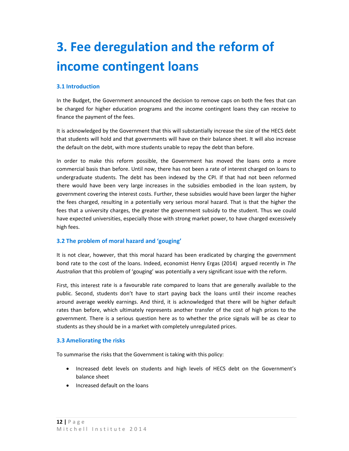## **3. Fee deregulation and the reform of income contingent loans**

#### **3.1 Introduction**

In the Budget, the Government announced the decision to remove caps on both the fees that can be charged for higher education programs and the income contingent loans they can receive to finance the payment of the fees.

It is acknowledged by the Government that this will substantially increase the size of the HECS debt that students will hold and that governments will have on their balance sheet. It will also increase the default on the debt, with more students unable to repay the debt than before.

In order to make this reform possible, the Government has moved the loans onto a more commercial basis than before. Until now, there has not been a rate of interest charged on loans to undergraduate students. The debt has been indexed by the CPI. If that had not been reformed there would have been very large increases in the subsidies embodied in the loan system, by government covering the interest costs. Further, these subsidies would have been larger the higher the fees charged, resulting in a potentially very serious moral hazard. That is that the higher the fees that a university charges, the greater the government subsidy to the student. Thus we could have expected universities, especially those with strong market power, to have charged excessively high fees.

#### **3.2 The problem of moral hazard and 'gouging'**

It is not clear, however, that this moral hazard has been eradicated by charging the government bond rate to the cost of the loans. Indeed, economist Henry Ergas (2014) argued recently in *The Australian* that this problem of 'gouging' was potentially a very significant issue with the reform.

First, this interest rate is a favourable rate compared to loans that are generally available to the public. Second, students don't have to start paying back the loans until their income reaches around average weekly earnings. And third, it is acknowledged that there will be higher default rates than before, which ultimately represents another transfer of the cost of high prices to the government. There is a serious question here as to whether the price signals will be as clear to students as they should be in a market with completely unregulated prices.

#### **3.3 Ameliorating the risks**

To summarise the risks that the Government is taking with this policy:

- Increased debt levels on students and high levels of HECS debt on the Government's balance sheet
- Increased default on the loans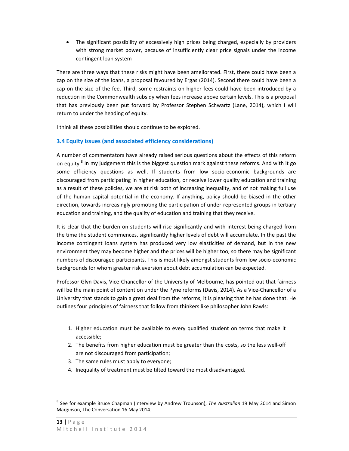The significant possibility of excessively high prices being charged, especially by providers with strong market power, because of insufficiently clear price signals under the income contingent loan system

There are three ways that these risks might have been ameliorated. First, there could have been a cap on the size of the loans, a proposal favoured by Ergas (2014). Second there could have been a cap on the size of the fee. Third, some restraints on higher fees could have been introduced by a reduction in the Commonwealth subsidy when fees increase above certain levels. This is a proposal that has previously been put forward by Professor Stephen Schwartz (Lane, 2014), which I will return to under the heading of equity.

I think all these possibilities should continue to be explored.

#### **3.4 Equity issues (and associated efficiency considerations)**

A number of commentators have already raised serious questions about the effects of this reform on equity. $8$  In my judgement this is the biggest question mark against these reforms. And with it go some efficiency questions as well. If students from low socio-economic backgrounds are discouraged from participating in higher education, or receive lower quality education and training as a result of these policies, we are at risk both of increasing inequality, and of not making full use of the human capital potential in the economy. If anything, policy should be biased in the other direction, towards increasingly promoting the participation of under-represented groups in tertiary education and training, and the quality of education and training that they receive.

It is clear that the burden on students will rise significantly and with interest being charged from the time the student commences, significantly higher levels of debt will accumulate. In the past the income contingent loans system has produced very low elasticities of demand, but in the new environment they may become higher and the prices will be higher too, so there may be significant numbers of discouraged participants. This is most likely amongst students from low socio‐economic backgrounds for whom greater risk aversion about debt accumulation can be expected.

Professor Glyn Davis, Vice‐Chancellor of the University of Melbourne, has pointed out that fairness will be the main point of contention under the Pyne reforms (Davis, 2014). As a Vice-Chancellor of a University that stands to gain a great deal from the reforms, it is pleasing that he has done that. He outlines four principles of fairness that follow from thinkers like philosopher John Rawls:

- 1. Higher education must be available to every qualified student on terms that make it accessible;
- 2. The benefits from higher education must be greater than the costs, so the less well‐off are not discouraged from participation;
- 3. The same rules must apply to everyone;
- 4. Inequality of treatment must be tilted toward the most disadvantaged.

<sup>8</sup> See for example Bruce Chapman (interview by Andrew Trounson), *The Australian* 19 May 2014 and Simon Marginson, The Conversation 16 May 2014.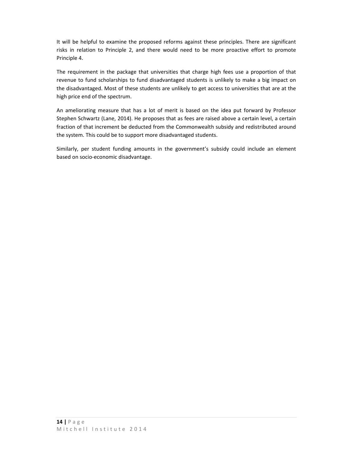It will be helpful to examine the proposed reforms against these principles. There are significant risks in relation to Principle 2, and there would need to be more proactive effort to promote Principle 4.

The requirement in the package that universities that charge high fees use a proportion of that revenue to fund scholarships to fund disadvantaged students is unlikely to make a big impact on the disadvantaged. Most of these students are unlikely to get access to universities that are at the high price end of the spectrum.

An ameliorating measure that has a lot of merit is based on the idea put forward by Professor Stephen Schwartz (Lane, 2014). He proposes that as fees are raised above a certain level, a certain fraction of that increment be deducted from the Commonwealth subsidy and redistributed around the system. This could be to support more disadvantaged students.

Similarly, per student funding amounts in the government's subsidy could include an element based on socio‐economic disadvantage.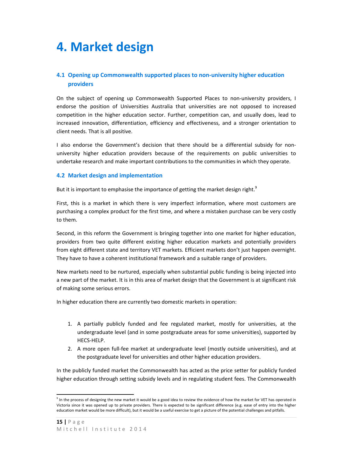### **4. Market design**

#### **4.1 Opening up Commonwealth supported places to non‐university higher education providers**

On the subject of opening up Commonwealth Supported Places to non-university providers, I endorse the position of Universities Australia that universities are not opposed to increased competition in the higher education sector. Further, competition can, and usually does, lead to increased innovation, differentiation, efficiency and effectiveness, and a stronger orientation to client needs. That is all positive.

I also endorse the Government's decision that there should be a differential subsidy for non‐ university higher education providers because of the requirements on public universities to undertake research and make important contributions to the communities in which they operate.

#### **4.2 Market design and implementation**

But it is important to emphasise the importance of getting the market design right. $9$ 

First, this is a market in which there is very imperfect information, where most customers are purchasing a complex product for the first time, and where a mistaken purchase can be very costly to them.

Second, in this reform the Government is bringing together into one market for higher education, providers from two quite different existing higher education markets and potentially providers from eight different state and territory VET markets. Efficient markets don't just happen overnight. They have to have a coherent institutional framework and a suitable range of providers.

New markets need to be nurtured, especially when substantial public funding is being injected into a new part of the market. It is in this area of market design that the Government is at significant risk of making some serious errors.

In higher education there are currently two domestic markets in operation:

- 1. A partially publicly funded and fee regulated market, mostly for universities, at the undergraduate level (and in some postgraduate areas for some universities), supported by HECS‐HELP.
- 2. A more open full‐fee market at undergraduate level (mostly outside universities), and at the postgraduate level for universities and other higher education providers.

In the publicly funded market the Commonwealth has acted as the price setter for publicly funded higher education through setting subsidy levels and in regulating student fees. The Commonwealth

<sup>&</sup>lt;sup>9</sup> In the process of designing the new market it would be a good idea to review the evidence of how the market for VET has operated in Victoria since it was opened up to private providers. There is expected to be significant difference (e.g. ease of entry into the higher education market would be more difficult), but it would be a useful exercise to get a picture of the potential challenges and pitfalls.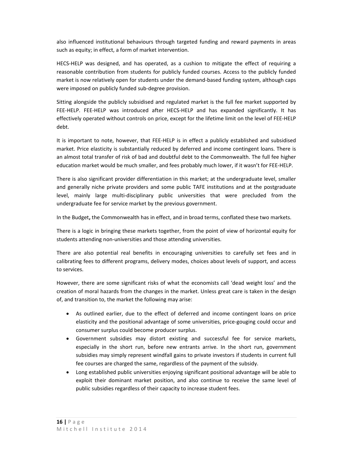also influenced institutional behaviours through targeted funding and reward payments in areas such as equity; in effect, a form of market intervention.

HECS‐HELP was designed, and has operated, as a cushion to mitigate the effect of requiring a reasonable contribution from students for publicly funded courses. Access to the publicly funded market is now relatively open for students under the demand-based funding system, although caps were imposed on publicly funded sub‐degree provision.

Sitting alongside the publicly subsidised and regulated market is the full fee market supported by FEE-HELP. FEE-HELP was introduced after HECS-HELP and has expanded significantly. It has effectively operated without controls on price, except for the lifetime limit on the level of FEE‐HELP debt.

It is important to note, however, that FEE‐HELP is in effect a publicly established and subsidised market. Price elasticity is substantially reduced by deferred and income contingent loans. There is an almost total transfer of risk of bad and doubtful debt to the Commonwealth. The full fee higher education market would be much smaller, and fees probably much lower, if it wasn't for FEE‐HELP.

There is also significant provider differentiation in this market; at the undergraduate level, smaller and generally niche private providers and some public TAFE institutions and at the postgraduate level, mainly large multi‐disciplinary public universities that were precluded from the undergraduate fee for service market by the previous government.

In the Budget**,** the Commonwealth has in effect, and in broad terms, conflated these two markets.

There is a logic in bringing these markets together, from the point of view of horizontal equity for students attending non‐universities and those attending universities.

There are also potential real benefits in encouraging universities to carefully set fees and in calibrating fees to different programs, delivery modes, choices about levels of support, and access to services.

However, there are some significant risks of what the economists call 'dead weight loss' and the creation of moral hazards from the changes in the market. Unless great care is taken in the design of, and transition to, the market the following may arise:

- As outlined earlier, due to the effect of deferred and income contingent loans on price elasticity and the positional advantage of some universities, price-gouging could occur and consumer surplus could become producer surplus.
- Government subsidies may distort existing and successful fee for service markets, especially in the short run, before new entrants arrive. In the short run, government subsidies may simply represent windfall gains to private investors if students in current full fee courses are charged the same, regardless of the payment of the subsidy.
- Long established public universities enjoying significant positional advantage will be able to exploit their dominant market position, and also continue to receive the same level of public subsidies regardless of their capacity to increase student fees.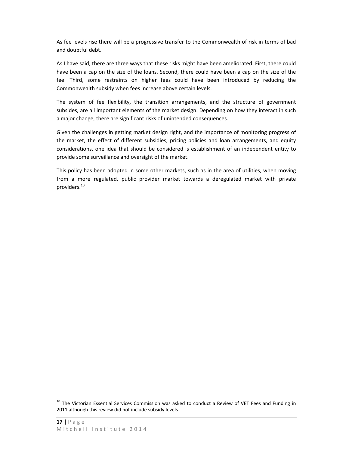As fee levels rise there will be a progressive transfer to the Commonwealth of risk in terms of bad and doubtful debt.

As I have said, there are three ways that these risks might have been ameliorated. First, there could have been a cap on the size of the loans. Second, there could have been a cap on the size of the fee. Third, some restraints on higher fees could have been introduced by reducing the Commonwealth subsidy when fees increase above certain levels.

The system of fee flexibility, the transition arrangements, and the structure of government subsides, are all important elements of the market design. Depending on how they interact in such a major change, there are significant risks of unintended consequences.

Given the challenges in getting market design right, and the importance of monitoring progress of the market, the effect of different subsidies, pricing policies and loan arrangements, and equity considerations, one idea that should be considered is establishment of an independent entity to provide some surveillance and oversight of the market.

This policy has been adopted in some other markets, such as in the area of utilities, when moving from a more regulated, public provider market towards a deregulated market with private providers.<sup>10</sup>

<sup>&</sup>lt;sup>10</sup> The Victorian Essential Services Commission was asked to conduct a Review of VET Fees and Funding in 2011 although this review did not include subsidy levels.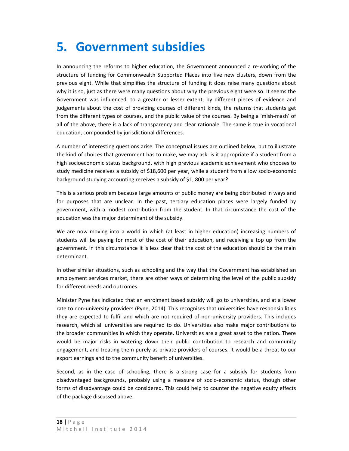## **5. Government subsidies**

In announcing the reforms to higher education, the Government announced a re‐working of the structure of funding for Commonwealth Supported Places into five new clusters, down from the previous eight. While that simplifies the structure of funding it does raise many questions about why it is so, just as there were many questions about why the previous eight were so. It seems the Government was influenced, to a greater or lesser extent, by different pieces of evidence and judgements about the cost of providing courses of different kinds, the returns that students get from the different types of courses, and the public value of the courses. By being a 'mish-mash' of all of the above, there is a lack of transparency and clear rationale. The same is true in vocational education, compounded by jurisdictional differences.

A number of interesting questions arise. The conceptual issues are outlined below, but to illustrate the kind of choices that government has to make, we may ask: is it appropriate if a student from a high socioeconomic status background, with high previous academic achievement who chooses to study medicine receives a subsidy of \$18,600 per year, while a student from a low socio‐economic background studying accounting receives a subsidy of \$1, 800 per year?

This is a serious problem because large amounts of public money are being distributed in ways and for purposes that are unclear. In the past, tertiary education places were largely funded by government, with a modest contribution from the student. In that circumstance the cost of the education was the major determinant of the subsidy.

We are now moving into a world in which (at least in higher education) increasing numbers of students will be paying for most of the cost of their education, and receiving a top up from the government. In this circumstance it is less clear that the cost of the education should be the main determinant.

In other similar situations, such as schooling and the way that the Government has established an employment services market, there are other ways of determining the level of the public subsidy for different needs and outcomes.

Minister Pyne has indicated that an enrolment based subsidy will go to universities, and at a lower rate to non-university providers (Pyne, 2014). This recognises that universities have responsibilities they are expected to fulfil and which are not required of non‐university providers. This includes research, which all universities are required to do. Universities also make major contributions to the broader communities in which they operate. Universities are a great asset to the nation. There would be major risks in watering down their public contribution to research and community engagement, and treating them purely as private providers of courses. It would be a threat to our export earnings and to the community benefit of universities.

Second, as in the case of schooling, there is a strong case for a subsidy for students from disadvantaged backgrounds, probably using a measure of socio‐economic status, though other forms of disadvantage could be considered. This could help to counter the negative equity effects of the package discussed above.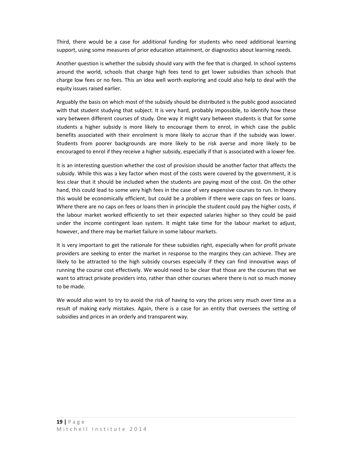Third, there would be a case for additional funding for students who need additional learning support, using some measures of prior education attainment, or diagnostics about learning needs.

Another question is whether the subsidy should vary with the fee that is charged. In school systems around the world, schools that charge high fees tend to get lower subsidies than schools that charge low fees or no fees. This an idea well worth exploring and could also help to deal with the equity issues raised earlier.

Arguably the basis on which most of the subsidy should be distributed is the public good associated with that student studying that subject. It is very hard, probably impossible, to identify how these vary between different courses of study. One way it might vary between students is that for some students a higher subsidy is more likely to encourage them to enrol, in which case the public benefits associated with their enrolment is more likely to accrue than if the subsidy was lower. Students from poorer backgrounds are more likely to be risk averse and more likely to be encouraged to enrol if they receive a higher subsidy, especially if that is associated with a lower fee.

It is an interesting question whether the cost of provision should be another factor that affects the subsidy. While this was a key factor when most of the costs were covered by the government, it is less clear that it should be included when the students are paying most of the cost. On the other hand, this could lead to some very high fees in the case of very expensive courses to run. In theory this would be economically efficient, but could be a problem if there were caps on fees or loans. Where there are no caps on fees or loans then in principle the student could pay the higher costs, if the labour market worked efficiently to set their expected salaries higher so they could be paid under the income contingent loan system. It might take time for the labour market to adjust, however, and there may be market failure in some labour markets.

It is very important to get the rationale for these subsidies right, especially when for profit private providers are seeking to enter the market in response to the margins they can achieve. They are likely to be attracted to the high subsidy courses especially if they can find innovative ways of running the course cost effectively. We would need to be clear that those are the courses that we want to attract private providers into, rather than other courses where there is not so much money to be made.

We would also want to try to avoid the risk of having to vary the prices very much over time as a result of making early mistakes. Again, there is a case for an entity that oversees the setting of subsidies and prices in an orderly and transparent way.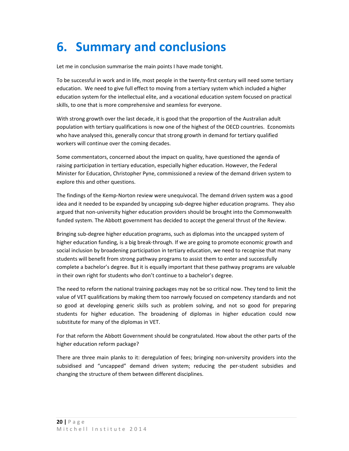## **6. Summary and conclusions**

Let me in conclusion summarise the main points I have made tonight.

To be successful in work and in life, most people in the twenty‐first century will need some tertiary education. We need to give full effect to moving from a tertiary system which included a higher education system for the intellectual elite, and a vocational education system focused on practical skills, to one that is more comprehensive and seamless for everyone.

With strong growth over the last decade, it is good that the proportion of the Australian adult population with tertiary qualifications is now one of the highest of the OECD countries. Economists who have analysed this, generally concur that strong growth in demand for tertiary qualified workers will continue over the coming decades.

Some commentators, concerned about the impact on quality, have questioned the agenda of raising participation in tertiary education, especially higher education. However, the Federal Minister for Education, Christopher Pyne, commissioned a review of the demand driven system to explore this and other questions.

The findings of the Kemp‐Norton review were unequivocal. The demand driven system was a good idea and it needed to be expanded by uncapping sub‐degree higher education programs. They also argued that non‐university higher education providers should be brought into the Commonwealth funded system. The Abbott government has decided to accept the general thrust of the Review.

Bringing sub‐degree higher education programs, such as diplomas into the uncapped system of higher education funding, is a big break-through. If we are going to promote economic growth and social inclusion by broadening participation in tertiary education, we need to recognise that many students will benefit from strong pathway programs to assist them to enter and successfully complete a bachelor's degree. But it is equally important that these pathway programs are valuable in their own right for students who don't continue to a bachelor's degree.

The need to reform the national training packages may not be so critical now. They tend to limit the value of VET qualifications by making them too narrowly focused on competency standards and not so good at developing generic skills such as problem solving, and not so good for preparing students for higher education. The broadening of diplomas in higher education could now substitute for many of the diplomas in VET.

For that reform the Abbott Government should be congratulated. How about the other parts of the higher education reform package?

There are three main planks to it: deregulation of fees; bringing non-university providers into the subsidised and "uncapped" demand driven system; reducing the per-student subsidies and changing the structure of them between different disciplines.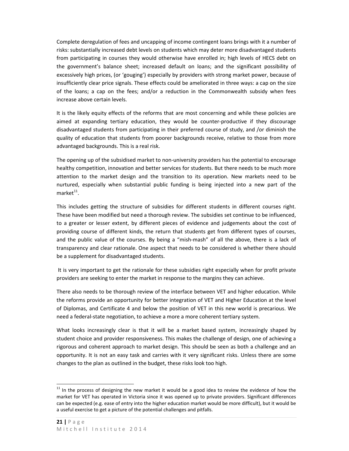Complete deregulation of fees and uncapping of income contingent loans brings with it a number of risks: substantially increased debt levels on students which may deter more disadvantaged students from participating in courses they would otherwise have enrolled in; high levels of HECS debt on the government's balance sheet; increased default on loans; and the significant possibility of excessively high prices, (or 'gouging') especially by providers with strong market power, because of insufficiently clear price signals. These effects could be ameliorated in three ways: a cap on the size of the loans; a cap on the fees; and/or a reduction in the Commonwealth subsidy when fees increase above certain levels.

It is the likely equity effects of the reforms that are most concerning and while these policies are aimed at expanding tertiary education, they would be counter-productive if they discourage disadvantaged students from participating in their preferred course of study, and /or diminish the quality of education that students from poorer backgrounds receive, relative to those from more advantaged backgrounds. This is a real risk.

The opening up of the subsidised market to non-university providers has the potential to encourage healthy competition, innovation and better services for students. But there needs to be much more attention to the market design and the transition to its operation. New markets need to be nurtured, especially when substantial public funding is being injected into a new part of the  $m$ arket $^{11}$ 

This includes getting the structure of subsidies for different students in different courses right. These have been modified but need a thorough review. The subsidies set continue to be influenced, to a greater or lesser extent, by different pieces of evidence and judgements about the cost of providing course of different kinds, the return that students get from different types of courses, and the public value of the courses. By being a "mish-mash" of all the above, there is a lack of transparency and clear rationale. One aspect that needs to be considered is whether there should be a supplement for disadvantaged students.

It is very important to get the rationale for these subsidies right especially when for profit private providers are seeking to enter the market in response to the margins they can achieve.

There also needs to be thorough review of the interface between VET and higher education. While the reforms provide an opportunity for better integration of VET and Higher Education at the level of Diplomas, and Certificate 4 and below the position of VET in this new world is precarious. We need a federal‐state negotiation, to achieve a more a more coherent tertiary system.

What looks increasingly clear is that it will be a market based system, increasingly shaped by student choice and provider responsiveness. This makes the challenge of design, one of achieving a rigorous and coherent approach to market design. This should be seen as both a challenge and an opportunity. It is not an easy task and carries with it very significant risks. Unless there are some changes to the plan as outlined in the budget, these risks look too high.

 $11$  In the process of designing the new market it would be a good idea to review the evidence of how the market for VET has operated in Victoria since it was opened up to private providers. Significant differences can be expected (e.g. ease of entry into the higher education market would be more difficult), but it would be a useful exercise to get a picture of the potential challenges and pitfalls.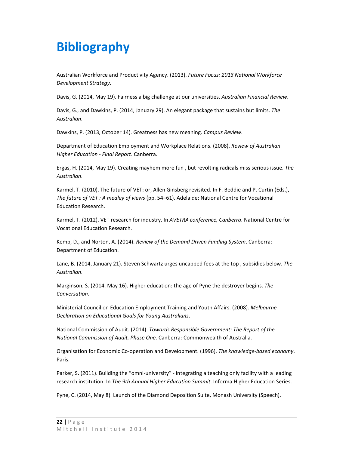## **Bibliography**

Australian Workforce and Productivity Agency. (2013). *Future Focus: 2013 National Workforce Development Strategy*.

Davis, G. (2014, May 19). Fairness a big challenge at our universities. *Australian Financial Review*.

Davis, G., and Dawkins, P. (2014, January 29). An elegant package that sustains but limits. *The Australian*.

Dawkins, P. (2013, October 14). Greatness has new meaning. *Campus Review*.

Department of Education Employment and Workplace Relations. (2008). *Review of Australian Higher Education ‐ Final Report*. Canberra.

Ergas, H. (2014, May 19). Creating mayhem more fun , but revolting radicals miss serious issue. *The Australian*.

Karmel, T. (2010). The future of VET: or, Allen Ginsberg revisited. In F. Beddie and P. Curtin (Eds.), *The future of VET : A medley of views* (pp. 54–61). Adelaide: National Centre for Vocational Education Research.

Karmel, T. (2012). VET research for industry. In *AVETRA conference, Canberra*. National Centre for Vocational Education Research.

Kemp, D., and Norton, A. (2014). *Review of the Demand Driven Funding System*. Canberra: Department of Education.

Lane, B. (2014, January 21). Steven Schwartz urges uncapped fees at the top , subsidies below. *The Australian*.

Marginson, S. (2014, May 16). Higher education: the age of Pyne the destroyer begins. *The Conversation*.

Ministerial Council on Education Employment Training and Youth Affairs. (2008). *Melbourne Declaration on Educational Goals for Young Australians*.

National Commission of Audit. (2014). *Towards Responsible Government: The Report of the National Commission of Audit, Phase One*. Canberra: Commonwealth of Australia.

Organisation for Economic Co‐operation and Development. (1996). *The knowledge‐based economy*. Paris.

Parker, S. (2011). Building the "omni-university" - integrating a teaching only facility with a leading research institution. In *The 9th Annual Higher Education Summit*. Informa Higher Education Series.

Pyne, C. (2014, May 8). Launch of the Diamond Deposition Suite, Monash University (Speech).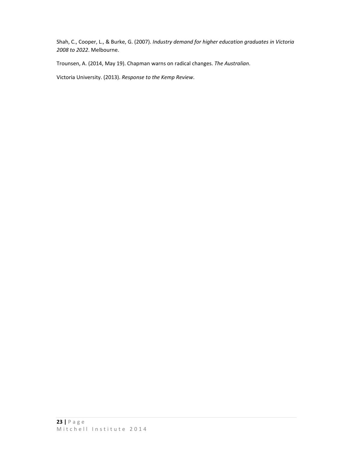Shah, C., Cooper, L., & Burke, G. (2007). *Industry demand for higher education graduates in Victoria 2008 to 2022*. Melbourne.

Trounsen, A. (2014, May 19). Chapman warns on radical changes. *The Australian*.

Victoria University. (2013). *Response to the Kemp Review*.